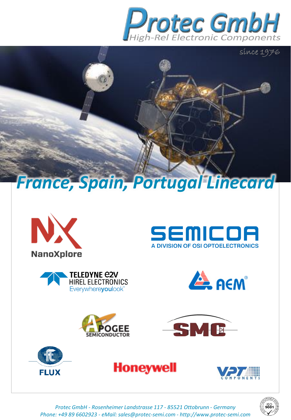

SEMICOA

A DIVISION OF OSI OPTOELECTRONICS

SME

**ALL ACM** 

















*Protec GmbH - Rosenheimer Landstrasse 117 - 85521 Ottobrunn - Germany Phone: +49 89 6602923 - eMail: sales@protec-semi.com - http://www.protec-semi.com*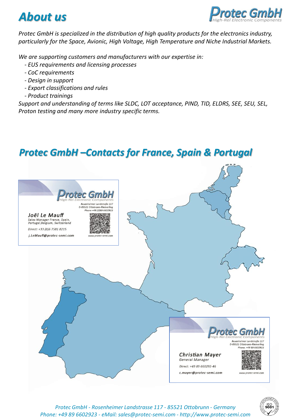



*Protec GmbH is specialized in the distribution of high quality products for the electronics industry, particularly for the Space, Avionic, High Voltage, High Temperature and Niche Industrial Markets.*

*We are supporting customers and manufacturers with our expertise in:*

- *- EUS requirements and licensing processes*
- *- CoC requirements*
- *- Design in support*
- *- Export classifications and rules*
- *- Product trainings*

*Support and understanding of terms like SLDC, LOT acceptance, PIND, TID, ELDRS, SEE, SEU, SEL, Proton testing and many more industry specific terms.* 

#### *Protec GmbH –Contacts for France, Spain & Portugal*





*Protec GmbH - Rosenheimer Landstrasse 117 - 85521 Ottobrunn - Germany Phone: +49 89 6602923 - eMail: sales@protec-semi.com - http://www.protec-semi.com*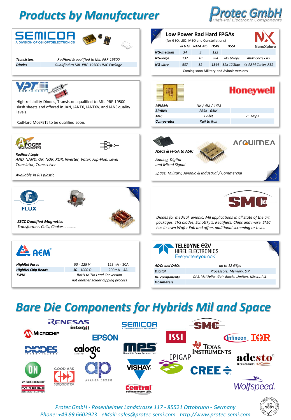# *Products by Manufacturer*





## *Bare Die Components for Hybrids Mil and Space*



*Protec GmbH - Rosenheimer Landstrasse 117 - 85521 Ottobrunn - Germany Phone: +49 89 6602923 - eMail: sales@protec-semi.com - http://www.protec-semi.com*